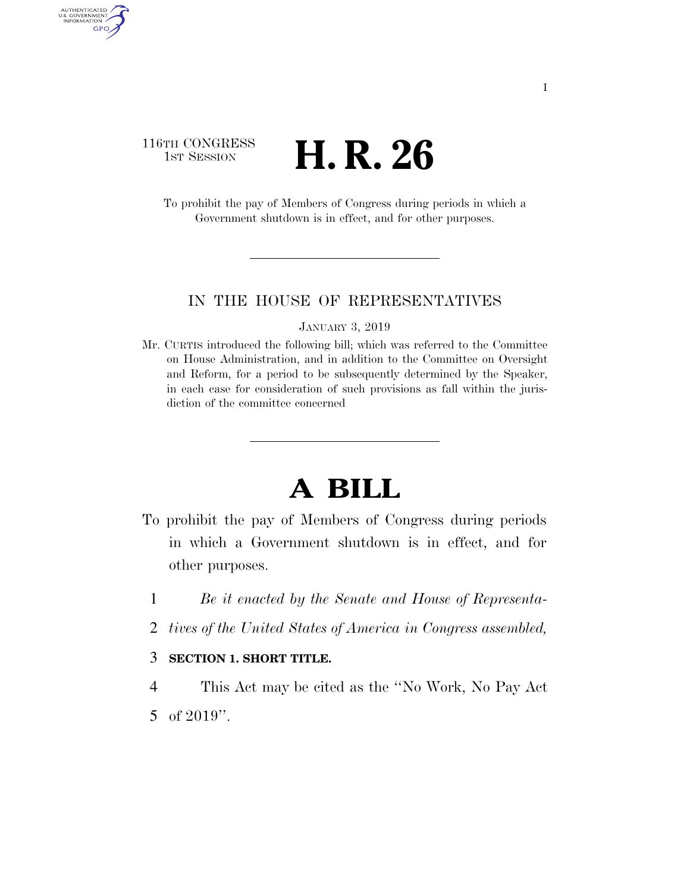## 116TH CONGRESS <sup>TH CONGRESS</sup> **H. R. 26**

AUTHENTICATED<br>U.S. GOVERNMENT<br>INFORMATION

**GPO** 

To prohibit the pay of Members of Congress during periods in which a Government shutdown is in effect, and for other purposes.

#### IN THE HOUSE OF REPRESENTATIVES

#### JANUARY 3, 2019

Mr. CURTIS introduced the following bill; which was referred to the Committee on House Administration, and in addition to the Committee on Oversight and Reform, for a period to be subsequently determined by the Speaker, in each case for consideration of such provisions as fall within the jurisdiction of the committee concerned

# **A BILL**

- To prohibit the pay of Members of Congress during periods in which a Government shutdown is in effect, and for other purposes.
	- 1 *Be it enacted by the Senate and House of Representa-*
	- 2 *tives of the United States of America in Congress assembled,*

## 3 **SECTION 1. SHORT TITLE.**

4 This Act may be cited as the ''No Work, No Pay Act 5 of 2019''.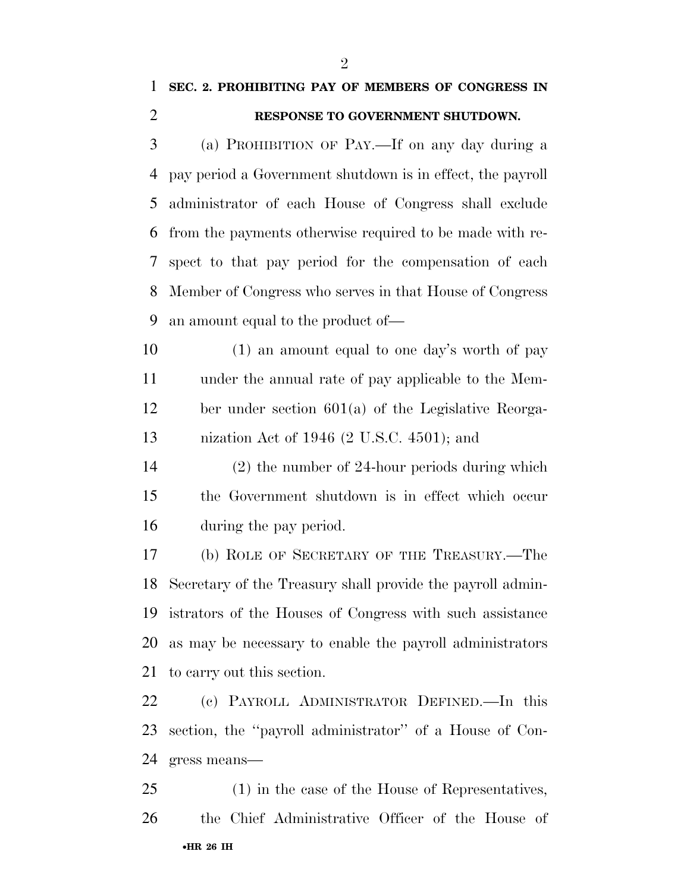# **SEC. 2. PROHIBITING PAY OF MEMBERS OF CONGRESS IN RESPONSE TO GOVERNMENT SHUTDOWN.**

 (a) PROHIBITION OF PAY.—If on any day during a pay period a Government shutdown is in effect, the payroll administrator of each House of Congress shall exclude from the payments otherwise required to be made with re- spect to that pay period for the compensation of each Member of Congress who serves in that House of Congress an amount equal to the product of—

10 (1) an amount equal to one day's worth of pay under the annual rate of pay applicable to the Mem- ber under section 601(a) of the Legislative Reorga-nization Act of 1946 (2 U.S.C. 4501); and

 (2) the number of 24-hour periods during which the Government shutdown is in effect which occur during the pay period.

 (b) ROLE OF SECRETARY OF THE TREASURY.—The Secretary of the Treasury shall provide the payroll admin- istrators of the Houses of Congress with such assistance as may be necessary to enable the payroll administrators to carry out this section.

 (c) PAYROLL ADMINISTRATOR DEFINED.—In this section, the ''payroll administrator'' of a House of Con-gress means—

•**HR 26 IH** (1) in the case of the House of Representatives, the Chief Administrative Officer of the House of